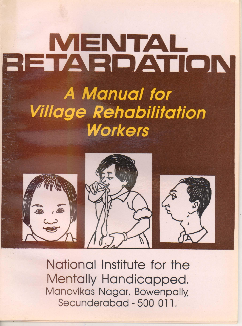# BETARDATION A Manual for **Village Rehabilitation Workers**



National Institute for the Mentally Handicapped. Manovikas Nagar, Bowenpally, Secunderabad - 500 011,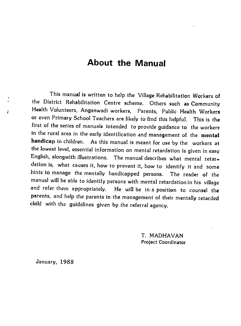# About the Manual

This manual is written to help the Village Rehabilitation Workers of the District Rehabilitation Centre scheme. Others such as Community Health Volunteers, Anganwadi workers, Parents, Public Health Workers or even Primary School Teachers are likely to find this helpful. This is the first of the series of manuals intended to provideguidance to the workers in the rural area in the early identification and management of the mental handicap in children. As this manual is meant for use by the workers at the lowest level, essential information on mental retardation is given in easy English, alongwith illustrations. The manual describes what mental retar dation is, what causes it, how to prevent it, how to identify it and some hints to manage the mentally handicapped persons. The reader of the manual will be able to identify persons with mental retardationin his village and refer them appropriately. He will be in a position to counsel the parents, and help the parents in the management of their mentally retarded child with the guidelines given by the referral agency.

> T. MADHAVAN Project Coordinator

January, 1988

J.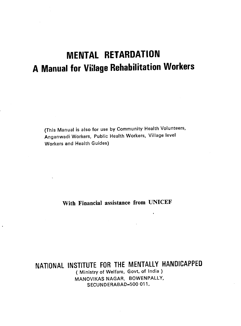# MENTAL RETARDATION A Manual for Village Rehabilitation Workers

(This Manual is also for use by Community Health Volunteers, Anganwadi Workers, Public Health Workers, Village level Workers and Health Guides)

With Financial assistance from UNICEF

NATIONAL INSTITUTE FOR THE MENTALLY HANDICAPPED ( Ministry of Welfare, Govt. of India ) MANOVIKAS NAGAR, BOWENPALLY, SECUNDERABAD—500 011.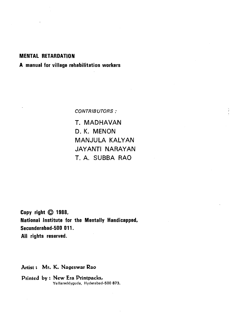#### MENTAL RETARDATION

#### A manual for village rehabilitation workers

CONTRIBUTORS:

1. MADHAVAN D. K. MENON MANJULA KALYAN JAYANTI NARAYAN T. A. SUBBA RAO

Copy right  $©$  1988, National Institute for the Mentally Handicapped, Secunderabad-500 011. All rights reserved.

Artist: Mr. K, Nageswar Rao

Printed by: New Era Printpacks, Yellareddyguda, Hyderabad-500 873.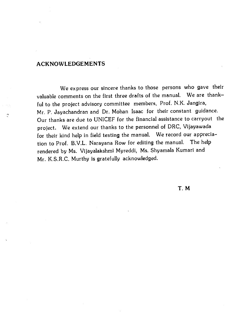#### ACKNOWLEDGEMENTS

Ŕ

We express our sincere thanks to those persons who gave their valuable comments on the first three drafts of the manual. We are thankful to the project advisory committee members, Prof. N.K. Jangira, Mr. P. Jayachandran and Dr. Mohan Isaac for their constant guidance. Our thanks are due to UNICEF for the financial assistance to carryout the project. We extend our thanks to the personnel of DRC, Vijayawada for their kind help in field testing the manual. We record our appreciation to Prof. B.V.L. Narayana Row for editing the manual. The help rendered by Ms. Vijayalakshmi Myreddi, Ms. Shyamala Kumari and Mr. K.S.R.C. Murthy is gratefully acknowledged.

T.M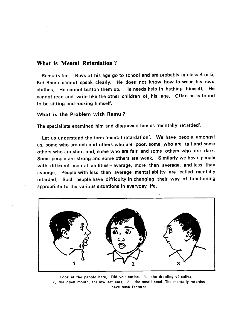#### What is Mental Retardation?

Ramu is ten. Boys of his age go to school and are probably in class 4 or 5. But Ramu cannot speak clearly. He does not know how to wear his own clothes. He cannot button them up. He needs help in bathing himself. He cannot read and write like the other children of his age. Often he is found to be sitting and rocking himself.

#### What is the Problem with Ramu ?

The specialists examined him and diagnosed him as 'mentally retarded'.

Let us understand the term 'mental retardation'. We have people amongst us, some who are rich and others who are poor, some who are tall and some others who are short and, some who are fair and some others who are dark. Some people are strong and some others are weak. Similarly we have people with different mental abilities — average, more than average, and less than average. People with less than average mental ability are called mentally retarded. Such people have difficulty in changing their way of functioning appropriate to the various situations in everyday life.



Look at the people here, Did you notice, 1. the drooling of saliva, 2. the open mouth, the low set ears, 3. the small head. The mentally retarded have such features.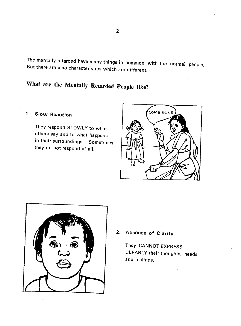The mentally retarded have many things in common with the normal people. But there are also characteristics which are different.

# What are the Mentally Retarded People like?

#### 1. Slow Reaction

They respond SLOWLY to what others say and to what happens in their surroundings. Sometimes they do not respond at all.





#### 2. Absence of Clarity

They CANNOT EXPRESS CLEARLY their thoughts, needs and feelings.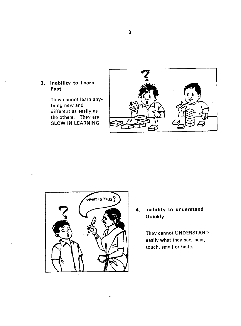#### 3. Inability to Learn Fast

They cannot learn anything new and different as easily as the others. They are SLOW IN LEARNING.





4. Inability to understand **Quickly** 

> They cannot UNDERSTAND easily what they see, hear, touch, smell or taste.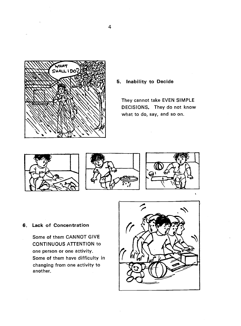

#### 5. Inability to Decide

They cannot take EVEN SIMPLE DECISIONS. They do not know what to do, say, and so on.





#### 6. Lack of Concentration

Some of them CANNOT GIVE CONTINUOUS ATTENTION to one person or one activity. Some of them have difficulty in changing from one activity to another.

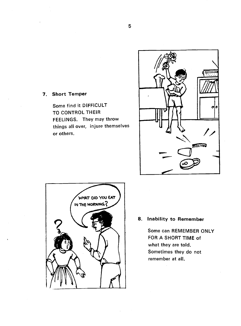

7. Short Temper

Some find it DIFFICULT TO CONTROL THEIR FEELINGS. They may throw things all over, injure themselves or others.



#### 8. Inability to Remember

Some can REMEMBER ONLY FOR A SHORT TIME of what they are told. Sometimes they do not remember at all.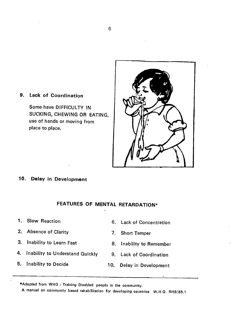

#### 9. Lack of Coordination

Some have DIFFICULTY IN SUCKING, CHEWING OR EATING, use of hands or moving from place to place.

#### 10. Delay in Development

#### FEATURES OF MENTAL RETARDATION\*

- 1. Slow Reaction
- 2. Absence of Clarity
- 3. Inability to Learn Fast
- 4. Inability to Understand Quickly
- 5. Inability to Decide
- Lack of Concentration 6.
- 7. Short Temper
- 8. Inability to Remember
- Lack of Coordination 9.
- 10. Delay in Development

\*Adopted from WHO - Training Disabled people in the community.

A manual on community based rehabilitation for developing countries W.H.O. RHB/83.1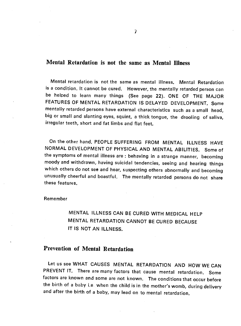#### Mental Retardation is not the same as Mental Illness

Mental retardation is not the same as mental illness. Mental Retardation is a condition. It cannot be cured. However, the mentally retarded person can be helped to learn many things (See page 22). ONE OF THE MAJOR FEATURES OF MENTAL RETARDATION IS DELAYED DEVELOPMENT. Some mentally retarded persons have external characteristics such as a small head, big or small and slanting eyes, squint, a thick tongue, the drooling of saliva, irregular teeth, short and fat limbs and fIat feet.

On the other hand, PEOPLE SUFFERING FROM MENTAL ILLNESS HAVE NORMAL DEVELOPMENT OF PHYSICAL AND MENTAL ABILITIES. Some of the symptoms of mental illness are : behaving in a strange manner, becoming moody and withdrawn, having suicidal tendencies, seeing and hearing things which others do not see and hear, suspecting others abnormally and becoming unusually cheerful and boastful. The mentally retarded persons do not share these features.

#### Remember

MENTAL ILLNESS CAN BE CURED WITH MEDICAL HELP MENTAL RETARDATION CANNOT BE CURED BECAUSE IT IS NOT AN ILLNESS.

#### Prevention of Mental Retardation

Let us see WHAT CAUSES MENTAL RETARDATION AND HOW WE CAN PREVENT IT. There are many factors that cause mental retardation. Some factors are known and some are not known. The conditions that occur before the birth of a baby i.e. when the child is in the mother's womb, during delivery and after the birth of a baby, may lead on to mental retardation.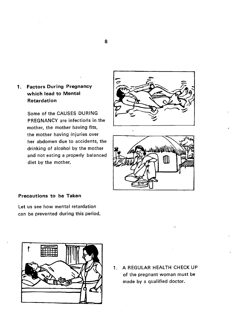#### 1. Factors During Pregnancy which lead to Mental Retardation

Some of the CAUSES DURING PREGNANCY are infections in the mother, the mother having fits, the mother having injuries over her abdomen due to accidents, the drinking of alcohol by the mother and not eating a properly balanced diet by the mother.





#### Precautions to be Taken

Let us see how mental retardation can be prevented during this period.



1. A REGULAR HEALTH CHECK UP of the pregnant woman must be made by a qualified doctor.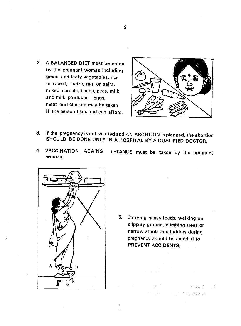2. A BALANCED DIET must be eaten by the pregnant woman including green and leafy vegetables, rice or wheat, maize, ragi or bajra, mixed cereals, beans, peas, milk and milk products. Eggs, meat and chicken may be taken if the person likes and can afford.



- 3. If the pregnancy is not wanted and AN ABORTION is planned, the abortion SHOULD BE DONE ONLY IN A HOSPITAL BY A QUALIFIED DOCTOR.
- 4. VACCINATION AGAINST TETANUS must be taken by the pregnant woman.



5. Carrying heavy loads, walking on slippery ground, climbing trees or narrow stools and ladders during pregnancy should be avoided to PREVENT ACCIDENTS.

> $\label{eq:3.1} \mathcal{L}^{\text{max}}_{\text{max}} \left( \mathcal{L}^{\text{max}}_{\text{max}} \left( \mathcal{L}^{\text{max}}_{\text{max}} \right) \right) = \mathcal{L}^{\text{max}}_{\text{max}} \left( \mathcal{L}^{\text{max}}_{\text{max}} \right)$ Providence in the contracts storage

9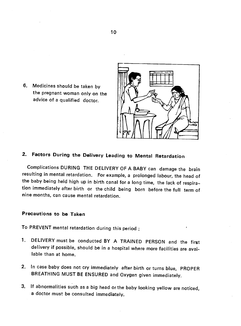6. Medicines should be taken by the pregnant woman only on the advice of a qualified doctor.



### 2. Factors During the Delivery Leading to Mental Retardation

Complications DURING THE DELIVERY OF A BABY can damage the brain resulting in mental retardation. For example, a prolonged labour, the head of the baby being held high up in birth canal for a long time, the lack of respiration immediately after birth or the child being born before the full term of nine months, can cause mental retardation.

#### Precautions to be Taken

To PREVENT mental retardation during this period

- 1. DELIVERY must be conducted BY A TRAINED PERSON and the first delivery if possible, should be in a hospital where more facilities are available than at home.
- 2. In case baby does not cry immediately after birth or turns blue, PROPER BREATHING MUST BE ENSURED and Oxygen given immediately.
- 3. If abnormalities such as a big head or the baby looking yellow are noticed, a doctor must be consulted immediately.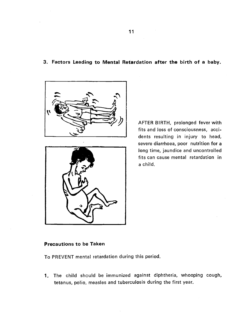#### 3. Factors Leading to Mental Retardation after the birth of a baby.





AFTER BIRTH, prolonged fever with fits and loss of consciousness, accidents resulting in injury to head, severe diarrhoea, poor nutrition for a long time, jaundice and uncontrolled fits can cause mental retardation in a child.

#### Precautions to be Taken

To PREVENT mental retardation during this period.

1. The child should be immunized against diphtheria, whooping cough, tetanus, polio, measles and tuberculosis during the first year.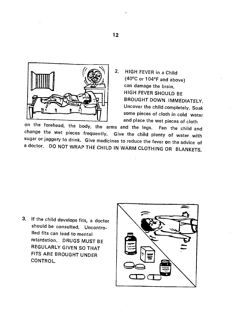

2. HIGH FEVER in a Child (40°C or 104°F and above) can damage the brain. HIGH FEVER SHOULD BE BROUGHT DOWN IMMEDIATELy Uncover the child completely. Soak some pieces of cloth in cold water<br>and place the wet pieces of cloth

on the forehead, the body, the arms and the legs. Fan the child and change the wet pieces frequently. Give the child plenty of water with sugar or jaggery to drink. Give medicines to reduce the fever on the advice of a doctor. DO NOT WRAP THE CHILD IN WARM CLOTHING OR BLANKETS.

3. If the child develops fits, a doctor should be consulted. Uncontrolled fits can lead to mental retardation. DRUGS MUST BE REGULARLY GIVEN SO THAT FITS ARE BROUGHT UNDER CONTROL.

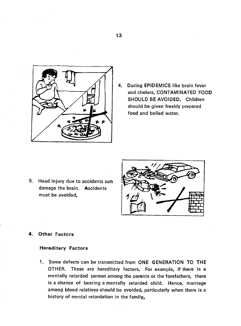

4. During EPIDEMICS like brain fever and cholera, CONTAMINATED FOOD SHOULD BE AVOIDED. Children should be given freshly prepared food and boiled water.

5. Head injury due to accidents can damage the brain. Accidents must be avoided.



#### 4. Other Factors

#### Hereditary Factors

1. Some defects can be transmitted from ONE GENERATION TO THE OTHER. These are hereditary factors. For example, if there is a mentally retarded person among the parents or the forefathers, there is a chance of bearing a mentally retarded child. Hence, marriage among blood relatives should be avoided, particularly when there is a history of mental retardation in the family,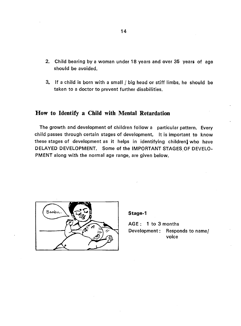- 2. Child bearing by a woman under 18 years and over 35 years of age should be avoided.
- 3. If a child is born with a small / big head or stiff limbs, he should be taken to a doctor to prevent further disabilities.

#### How to Identify a Child with Mental Retardation

The growth and development of children follow a particular pattern. Every child passes through certain stages of development. It is important to know these stages of development as it helps in identifying children who have DELAYED DEVELOPMENT. Some of the IMPORTANT STAGES.OF DEVELO-PMENT along with the normal age range, are given below.



Stage-i

AGE : 1 to 3 months Development: Responds to name/ voice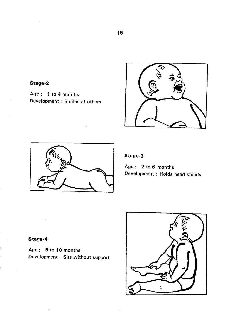

Age : 1 to 4 months Development : Smiles at others





#### Stage-3

Age : 2 to 6 months Development : Holds head steady

#### Stage-4

Age: 5 to 10 months Development: Sits without support

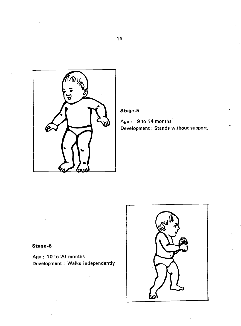

#### Stage-5

Age: 9 to 14 months Development : Stands without support,

#### Stage-6

Age: 10 to 20 months Development : Walks independently

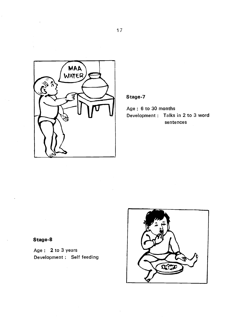

#### Stage-7

Age: 6 to 30 months Development: Talks in 2 to 3 word sentences

#### Stage-8

Age: 2 to 3 years Development : Self feeding

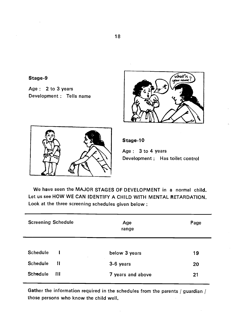#### Stage-9

Age: 2 to 3 years Development : Tells name





Stage-10

Age: 3 to 4 years Development : Has toilet control

We have seen the MAJOR STAGES OF DEVELOPMENT in a normal child. Let us see HOW WE CAN IDENTIFY A CHILD WITH MENTAL RETARDATION. Look at the three screening schedules given below:

| <b>Screening Schedule</b> | Age<br>range      | Page |
|---------------------------|-------------------|------|
| <b>Schedule</b>           | below 3 years     | 19   |
| <b>Schedule</b><br>11     | 3-6 years         | 20   |
| <b>Schedule</b><br>Ш      | 7 years and above | 21   |

Gather the information required in the schedules from the parents / guardian / those persons who know the child well.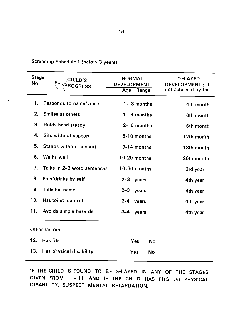|              | Screening Schedule I (below 3 years) |               |  |
|--------------|--------------------------------------|---------------|--|
| <b>Stage</b> | <b>CHILD'S</b>                       | <b>NORMAL</b> |  |

| <b>Stage</b><br>No. | CHILD'S<br><b>ROGRESS</b>   | <b>NORMAL</b><br><b>DEVELOPMENT</b><br>Age Range | <b>DELAYED</b><br>DEVELOPMENT: If<br>not achieved by the |
|---------------------|-----------------------------|--------------------------------------------------|----------------------------------------------------------|
| 1.                  | Responds to name/voice      | 1- 3 months                                      | 4th month                                                |
| 2.                  | Smiles at others            | $1 - 4$ months                                   | 6th month                                                |
| 3 <sub>1</sub>      | Holds head steady           | $2 - 6$ months                                   | 6th month                                                |
| 4.                  | Sits without support        | 5-10 months                                      | 12th month                                               |
| 5.                  | Stands without support      | 9-14 months                                      | 18th month                                               |
| 6.                  | Walks well                  | 10-20 months                                     | 20th month                                               |
| $7_{-}$             | Talks in 2-3 word sentences | $16 - 30$ months                                 | 3rd year                                                 |
| 8.                  | Eats/drinks by self         | $2 - 3$<br>years                                 | 4th year                                                 |
| 9.                  | Tells his name              | $2-3$ years                                      | 4th year                                                 |
| 10.                 | Has toilet control          | $3 - 4$<br>years                                 | 4th year                                                 |
| 11.                 | Avoids simple hazards       | $3 - 4$<br>years                                 | 4th year                                                 |
|                     | Other factors               |                                                  |                                                          |
| 12,                 | Has fits                    | Yes<br>No                                        |                                                          |
| 13.                 | Has physical disability     | Yes<br>No                                        |                                                          |

IF THE CHILD IS FOUND TO BE DELAYED IN ANY OF THE STAGES GIVEN FROM 1 - 11 AND IF THE CHILD HAS FITS OR PHYSICAL DISABILITY, SUSPECT MENTAL RETARDATION.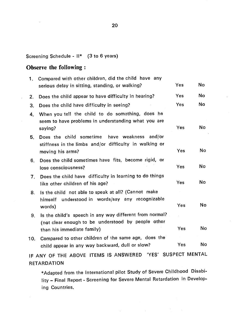Screening Schedule - II\* (3 to 6 years)

#### Observe the following

| 1.  | Compared with other children, did the child have any<br>serious delay in sitting, standing, or walking?       | Yes        | No |
|-----|---------------------------------------------------------------------------------------------------------------|------------|----|
| 2.  | Does the child appear to have difficulty in hearing?                                                          | Yes        | No |
| 3.  | Does the child have difficulty in seeing?                                                                     | <b>Yes</b> | No |
| 4.  | When you tell the child to do something, does he<br>seem to have problems in understanding what you are       | Yes        | No |
| 5.  | saying?<br>Does the child sometime have weakness and/or                                                       |            |    |
|     | stiffness in the limbs and/or difficulty in walking or<br>moving his arms?                                    | Yes        | No |
| 6.  | Does the child sometimes have fits, become rigid, or<br>lose consciousness?                                   | Yes        | No |
| 7.  | Does the child have difficulty in learning to do things<br>like other children of his age?                    | Yes        | No |
| 8.  | Is the child not able to speak at all? (Cannot make<br>understood in words/say any recognizable<br>himself    |            |    |
|     | words)                                                                                                        | Yes        | No |
| 9.  | Is the child's speech in any way different from normal?<br>(not clear enough to be understood by people other |            | No |
|     | than his immediate family)                                                                                    | Yes        |    |
| 10. | Compared to other children of the same age, does the<br>child appear in any way backward, dull or slow?       | Yes        | No |
|     |                                                                                                               |            |    |

IF ANY OF THE ABOVE ITEMS IS ANSWERED 'YES' SUSPECT MENTAL **RETARDATION** 

\*Adapted from the International pilot Study of Severe Childhood Disability — Final Report - Screening for Severe Mental Retardation in Developing Countries.

 $\mathbf{L}^{\text{max}}$  and  $\mathbf{L}^{\text{max}}$  and  $\mathbf{L}^{\text{max}}$  and  $\mathbf{L}^{\text{max}}$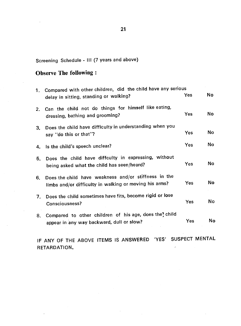# Screening Schedule - III (7 years and above)

## Observe The following:

|         | 1. Compared with other children, did the child have any serious<br>delay in sitting, standing or walking?      | Yes        | <b>No</b> |
|---------|----------------------------------------------------------------------------------------------------------------|------------|-----------|
| $2_{-}$ | Can the child not do things for himself like eating,<br>dressing, bathing and grooming?                        | Yes        | No.       |
| 3.      | Does the child have difficulty in understanding when you<br>say "do this or that"?                             | Yes        | No        |
| 4.      | Is the child's speech unclear?                                                                                 | Yes        | <b>No</b> |
| 5.      | Does the child have diffculty in expressing, without<br>being asked what the child has seen/heard?             | Yes        | No        |
| 6.      | Does the child have weakness and/or stiffness in the<br>limbs and/or difficulty in walking or moving his arms? | <b>Yes</b> | No        |
| 7.      | Does the child sometimes have fits, become rigid or lose<br>Consciousness?                                     | Yes        | No        |
| 8.      | Compared to other children of his age, does the! child<br>appear in any way backward, dull or slow?            | Yes        | No        |

IF ANY OF THE ABOVE ITEMS IS ANSWERED 'YES' SUSPECT MENTAL RETARDATION. $\overline{ }$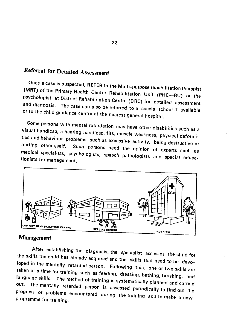# Referral for Detailed Assessment

Once a case is suspected, REFER to the Multi-purpose rehabilitation therapist (MRT) of the Primary Health Centre Rehabilitation Unit (PHC—RU) or the psychologist at District Rehabilitation Centre (DRC) for detailed assessm

Some persons with mental retardation may have other disabilities such as a<br>visual handicap, a hearing handicap, fits, muscle weakness, physical deformi-<br>ties and behaviour problems such as excessive activity, being destruc



#### Management

After establishing the diagnosis, the specialist assesses the child for<br>the skills the child has already acquired and the skills that need to be devoloped in the mentally retarded person. Following this, one or two skills are taken at a time for training such as feeding, dressing, bathing, brushing, and<br>language skills. The method of training is systematically planned and carried<br>out. The mentally retarded person is assessed periodically to fin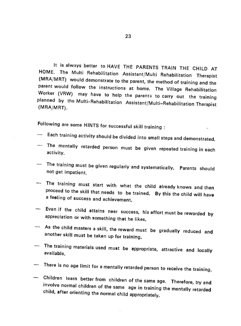It is always better to HAVE THE PARENTS TRAIN THE CHILD AT HOME. The Multi Rehabilitation Assistant/Multi Rehabilitation Therapist parent would follow the instructions at home. The Village Rehabilitation<br>Worker (VRW) may have to help the parents to carry out the training planned by the Multi-Rehabilitation Assistant/Multi\_Rehabilitation Therapist (MRA/MRT).

Following are some HINTS for successful skill training :

- Each training activity should be divided into small steps and demonstrated.
- The mentally retarded person must be given repeated training in each activity.
- The training must be given regularly and systematically. Parents should not get impatient.
- The training must start with what the child already knows and then proceed to the skill that needs to be trained. By this the child will have a feeling of success and achievement.
- Even if the child attains near success, his effort must be rewarded by appreciation or with something that he likes.
- As the child masters a skill, the reward must be gradually reduced and another skill must be taken up for training.
- The training materials used must be appropriate, attractive and locally available.
- There is no age limit for a mentally retarded person to receive the training.
- Children learn better from children of the same age. Therefore, try and involve normal children of the same age in training the mentally retarded child, after orienting the normal child appropriately.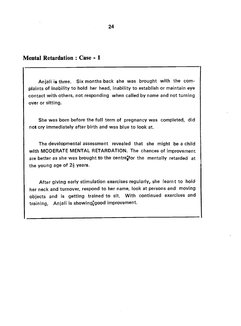#### Mental Retardation: Case - 1

Anjali is three. Six months back she was brought with the complaints of inability to hold her head, inability to establish or maintain eye contact with others, not responding when called by name and not turning over or sitting.

She was born before the full term of pregnancy was completed, did not cry immediately after birth and was blue to look at.

The developmental assessment revealed that she might be a child with MODERATE MENTAL RETARDATION. The chances of improvement are better as she was brought to the centre<sup>t</sup> for the mentally retarded at the young age of  $2\frac{1}{2}$  years.

After giving early stimulation exercises regularly, she learnt to hold her neck and turnover, respond to her name, look at persons and moving objects and is getting trained to sit. With continued exercises and training, Anjali is showing $\frac{1}{2}$ good improvement.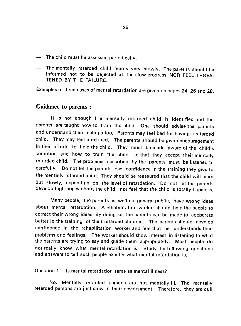- The child must be assessed periodically.
- The mentally ratarded child learns very slowly. The parents should be informed not to be dejected at the slow progress, NOR FEEL THREA-TENED BY THE FAILURE.

Examples of three cases of mental retardation are given on pages 24, 26 and 28.

#### Guidance to parents:

It is not enough if a mentally retarded child is identified and the parents are taught how to train the child. One should advise the parents and understand their feelings too. Parents may feel bad for having a retarded child. They may feel burdened. The parents should be given encouragement in their efforts to help the child. They must be made aware of the child's condition and how to train the child, so that they accept their mentally retarded child. The problems described by the parents must be listened to carefully. Do not let the parents lose confidence in the training they give to the mentally retarded child. They should be reassured that the child will learn but slowly, depending on the level of retardation. Do not let the parents develop high hopes about the child, nor feel that the child is totally hopeless.

Many people, the parents as well as general public, have wrong ideas about mental retardation. A rehabilitation worker should help the people to correct their wrong ideas. By doing so, the parents can be made to cooperate better in the training of their retarded children. The parents should develop confidence in the rehabilitation worker and feel that he understands their problems and feelings. The worker should show interest in listening to what the parents are trying to say and guide them appropriately. Most people do not really know what mental retardation is. Study the following questions and answers to tell such people exactly what mental retardation is.

Question 1. Is mental retardation same as mental illness?

No. Mentally retarded persons are not mentally ill. The mentally retarded persons are just slow in their development. Therefore, they are dull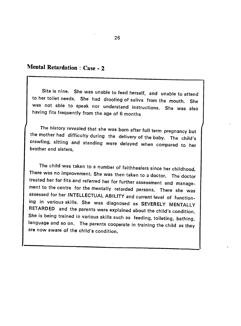## Mental Retardation : Case - 2

Sita is nine. She was unable to feed herself, and unable to attend to her toilet needs. She had drooling of saliva from the mouth. She was not able to speak nor understand instructions. She was also having fits frequently from the age of 6 months

The history revealed that she was born after full term pregnancy but the mother had difficulty during the delivery of the baby. The child's crawling, sitting and standing were delayed when compared to her brother and sisters.

The child was taken to a number of faithhealers since her childhood. There was no improvement. She was then taken to a doctor. The doctor<br>treated her for fits and referred her for further assessment and management to the centre for the mentally retarded persons. There she was assessed for her INTELLECTUAL ABILITY and current level of functioning in various skills. She was diagnosed as SEVERELY MENTALLY RETARDED and the parents were explained about the child's condition. She is being trained in various skills such as feeding, toileting, bathing, language and so on. The parents cooperate in training the child as they are now aware of the child's condition.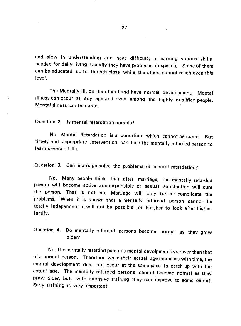and slow in understanding and have difficulty in learning various skills needed for daily living. Usually they have problems in speech. Some of them can be educated up to the 5th class while the others cannot reach even this level.

The Mentally ill, on the other hand have normal development. Mental illness can occur at any age and even among the highly qualified people. Mental illness can be cured.

Question 2. Is mental retardation curable?

No. Mental Retardation is a condition which cannot be cured. But timely and appropriate intervention can help the mentally retarded person to learn several skills.

Question 3. Can marriage solve the problems of mental retardation?

No. Many people think that after marriage, the mentally retarded person will become active and responsible or sexual satisfaction will cure the person. That is not so. Marriage will only further complicate the problems. When it is known that a mentally retarded person cannot be totally independent it will not be possible for him/her to look after his/her family.

Question 4. Do mentally retarded persons become normal as they grow older?

No. The mentally retarded person's mental devolpment is slower than that of a normal person. Therefore when their actual age increases with time, the mental development does not occur at the samepace to catch up with the actual age. The mentally retarded persons cannot become normal as they grow older, but, with intensive training they can improve to some extent. Early training is very important.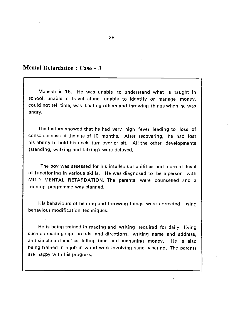#### Mental Retardation : Case - 3

Mahesh is 15. He was unable to understand what is taught in school, unable to travel alone, unable to identify or manage money, could not tell time, was beating others and throwing things when he was angry.

The history showed that he had very high fever leading to loss of consciousness at the age of 10 months. After recovering, he had lost his ability to hold his neck, turn over or sit. All the other developments (standing, walking and talking) were delayed.

The boy was assessed for his intellectual abilities and current level of functioning in various skills. He was diagnosed to be a person with MILD MENTAL RETARDATION. The parents were counselled and a training programme was planned.

His behaviours of beating and throwing things were corrected using behaviour modification techniques.

He is being trained in reading and writing required for daily living such as reading sign boards and directions, writing name and address, and simple arithmetics, telling time and managing money. He is also being trained in a job in wood work involving sand papering. The parents are happy with his progress.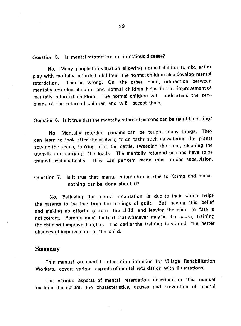Question 5. Is mental retardation an infectious disease?

No. Many people think that on allowing normal children to mix, eat or play with mentally retarded children, the normal children also develop mental retardation. This is wrong. On the other hand, interaction between mentally retarded children and normal children helps in the improvementof mentally retarded children. The normal children will understand the problems of the retarded children and will accept them.

Question 6. Is it true that the mentally retarded persons can be taught nothing?

No. Mentally retarded persons can be taught many things. They can learn to look after themselves; to do tasks such as watering the plants sowing the seeds, looking after the cattle, sweeping the floor, cleaning the utensils and carrying the loads. The mentally retarded persons have to be trained systematically. They can perform many jobs under supeivision.

Question 7. Is it true that mental retardation is due to Karma and hence nothing can be done about it?

No. Believing that mental retardation is due to their karma helps the parents to be free from the feelings of guilt. But having this belief and making no efforts to train the child and leaving the child to fate is not correct. Parents must be told that whatever may be the cause, training the child will improve him/her. The earlier the training is started, the better chances of improvement in the child.

#### **Summary**

This manual on mental retardation intended for Village Rehabilitation Workers, covers various aspects of mental retardation with illustrations.

The various aspects of mental retardation described in this manual include the nature, the characteristics, causes and prevention of mental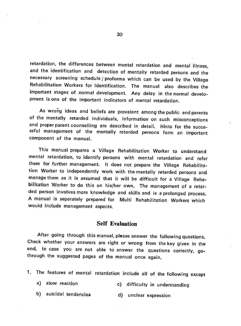retardation, the differences between mental retardation and mental illness, and the identification and detection of mentally retarded persons and the necessary screening schedule / proforma which can be used by the Village Rehabilitation Workers for Identification. The manual also describes the important stages of normal development. Any delay in the normal development is one of the important indicators of mental retardation.

As wrong ideas and beliefs are prevalent among the public and parents of the mentally retarded individuals, information on such misconceptions and proper parent counselling are described in detail. Hints for the successful management of the mentally retarded persons form an important component of the manual.

This manual prepares a Village Rehabilitation Worker to understand mental retardation, to identify persons with mental retardation and refer them for further management, It does not prepare the Village Rehabilitation Worker to independently work with the mentally retarded persons and manage them as it is assumed that it will be difficult for a Village Rehabilitation Worker to do this on his/her own. The management of a retarded person involves more knowledge and skills and is a prolonged process. A manual is separately prepared for Multi Rehabilitation Workers which would include management aspects.

#### Self Evaluation

After going through this manual, please answer the following questions.<br>Check whether your answers are right or wrong from the key given in the end. In case you are not able to answer the questions correctly, gothrough the suggested pages of the manual once again.

- 1. The features of mental retardation include all of the following except
	- a) slow reaction (c) difficulty in understanding
	- b) suicidal tendencies and d) unclear expression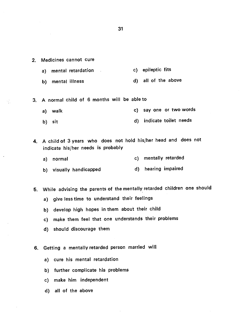2. Medicines cannot cure

 $\frac{1}{2}$ 

- a) mental retardation c) epileptic fits
- b) mental illness and d) all of the above
- 3. A normal child of 6 months will be able to
	- a) walk c) say one or two words
	- b) sit d) indicate toilet needs
- 4. A child of 3 years who does not hold his/her head and does not indicate his/her needs is probably
	- a) normal c) mentally retarded
	- b) visually handicapped and d) hearing impaired

5. While advising the parents of the mentally retarded children one should

- a) give less time to understand their feelings
- b) develop high hopes in them about their child
- c) make them feel that one understands their problems
- d) should discourage them
- 6. Getting a mentally retarded person married will
	- a) cure his mental retardation
	- b) further complicate his problems
	- c) make him independent
	- d) all of the above

31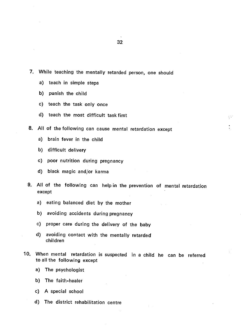$\hat{\varepsilon}_i^{\;\;\gamma_i}$ 

7. While teaching the mentally retarded person, one should

- a) teach in simple steps
- b) punish the child
- c) teach the task only once
- d) teach the most difficult task first
- 8. All of the following can cause mental retardation except
	- a) brain fever in the child
	- b) difficult delivery
	- C) poor nutrition during pregnancy
	- d) black magic and/or karma
- 9. All of the following can help in the prevention of mental retardation except
	- a) eating balanced diet by the mother
	- b) avoiding accidents during pregnancy
	- c) proper care during the delivery of the baby
	- d) avoiding contact with the mentally retarded children
- 10. When mental retardation is suspected in a child he can be referred to all the following except
	- a) The psychologist
	- b) The faith-healer
	- C) A special school
	- d) The district rehabilitation centre